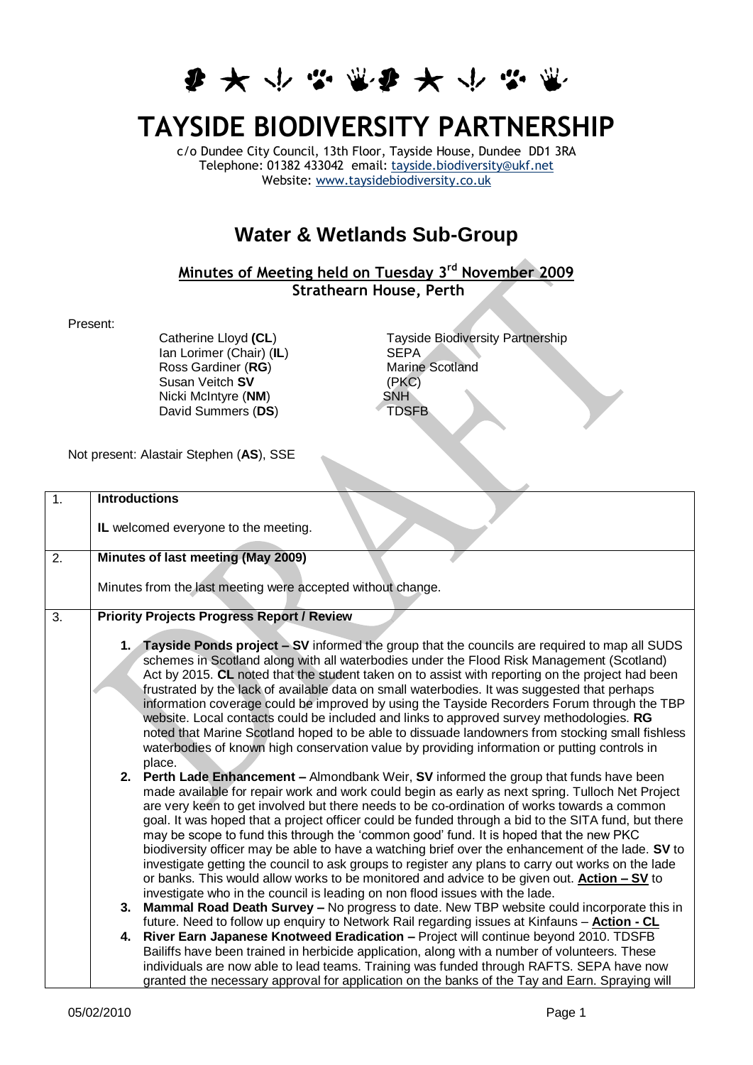

## **TAYSIDE BIODIVERSITY PARTNERSHIP**

c/o Dundee City Council, 13th Floor, Tayside House, Dundee DD1 3RA Telephone: 01382 433042 email: [tayside.biodiversity@ukf.net](mailto:tayside.biodiversity@ukf.net) Website: [www.taysidebiodiversity.co.uk](http://www.taysidebiodiversity.co.uk/)

## **Water & Wetlands Sub-Group**

## **Minutes of Meeting held on Tuesday 3rd November 2009 Strathearn House, Perth**

Present:

Ian Lorimer (Chair) (**IL**) SEPA<br>
Ross Gardiner (**RG**) Marine Scotland Ross Gardiner (**RG**) Marine Marine Susan Veitch **SV** Marine Susan Veitch **SV** (PKC<br>Nicki McIntvre (**NM**) SNH Nicki McIntyre (**NM**) SNH<br>David Summers (DS) TDSFB David Summers (DS)

Catherine Lloyd (CL)<br>
Ian Lorimer (Chair) (IL)<br>
SEPA<br>
SEPA

Not present: Alastair Stephen (**AS**), SSE

| $\overline{1}$ . | <b>Introductions</b>                                                                                                                                                                                    |  |  |
|------------------|---------------------------------------------------------------------------------------------------------------------------------------------------------------------------------------------------------|--|--|
|                  | IL welcomed everyone to the meeting.                                                                                                                                                                    |  |  |
| 2.               | Minutes of last meeting (May 2009)                                                                                                                                                                      |  |  |
|                  |                                                                                                                                                                                                         |  |  |
|                  | Minutes from the last meeting were accepted without change.                                                                                                                                             |  |  |
| 3.               | <b>Priority Projects Progress Report / Review</b>                                                                                                                                                       |  |  |
|                  |                                                                                                                                                                                                         |  |  |
|                  | 1. Tayside Ponds project - SV informed the group that the councils are required to map all SUDS                                                                                                         |  |  |
|                  | schemes in Scotland along with all waterbodies under the Flood Risk Management (Scotland)                                                                                                               |  |  |
|                  | Act by 2015. CL noted that the student taken on to assist with reporting on the project had been                                                                                                        |  |  |
|                  | frustrated by the lack of available data on small waterbodies. It was suggested that perhaps                                                                                                            |  |  |
|                  | information coverage could be improved by using the Tayside Recorders Forum through the TBP<br>website. Local contacts could be included and links to approved survey methodologies. RG                 |  |  |
|                  | noted that Marine Scotland hoped to be able to dissuade landowners from stocking small fishless                                                                                                         |  |  |
|                  | waterbodies of known high conservation value by providing information or putting controls in                                                                                                            |  |  |
|                  | place.                                                                                                                                                                                                  |  |  |
|                  | 2. Perth Lade Enhancement - Almondbank Weir, SV informed the group that funds have been                                                                                                                 |  |  |
|                  | made available for repair work and work could begin as early as next spring. Tulloch Net Project                                                                                                        |  |  |
|                  | are very keen to get involved but there needs to be co-ordination of works towards a common                                                                                                             |  |  |
|                  | goal. It was hoped that a project officer could be funded through a bid to the SITA fund, but there                                                                                                     |  |  |
|                  | may be scope to fund this through the 'common good' fund. It is hoped that the new PKC                                                                                                                  |  |  |
|                  | biodiversity officer may be able to have a watching brief over the enhancement of the lade. SV to<br>investigate getting the council to ask groups to register any plans to carry out works on the lade |  |  |
|                  | or banks. This would allow works to be monitored and advice to be given out. <b>Action – SV</b> to                                                                                                      |  |  |
|                  | investigate who in the council is leading on non flood issues with the lade.                                                                                                                            |  |  |
|                  | <b>Mammal Road Death Survey - No progress to date. New TBP website could incorporate this in</b><br>3.                                                                                                  |  |  |
|                  | future. Need to follow up enquiry to Network Rail regarding issues at Kinfauns - Action - CL                                                                                                            |  |  |
|                  | River Earn Japanese Knotweed Eradication - Project will continue beyond 2010. TDSFB<br>4.                                                                                                               |  |  |
|                  | Bailiffs have been trained in herbicide application, along with a number of volunteers. These                                                                                                           |  |  |
|                  | individuals are now able to lead teams. Training was funded through RAFTS. SEPA have now                                                                                                                |  |  |
|                  | granted the necessary approval for application on the banks of the Tay and Earn. Spraying will                                                                                                          |  |  |